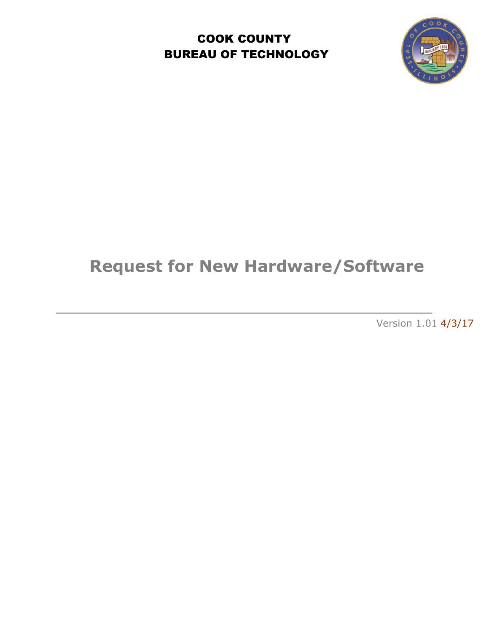COOK COUNTY BUREAU OF TECHNOLOGY



# **Request for New Hardware/Software**

Version 1.01 4/3/17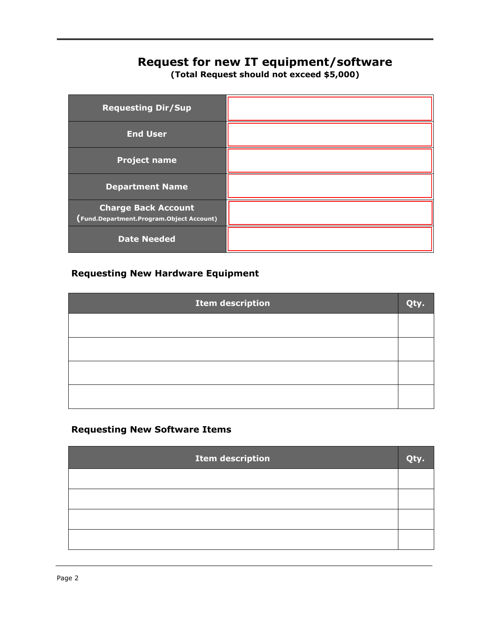## **Request for new IT equipment/software**

**(Total Request should not exceed \$5,000)**

| <b>Requesting Dir/Sup</b>                                              |  |
|------------------------------------------------------------------------|--|
| <b>End User</b>                                                        |  |
| <b>Project name</b>                                                    |  |
| <b>Department Name</b>                                                 |  |
| <b>Charge Back Account</b><br>(Fund.Department.Program.Object Account) |  |
| <b>Date Needed</b>                                                     |  |

#### **Requesting New Hardware Equipment**

| <b>Item description</b> | Otv. |
|-------------------------|------|
|                         |      |
|                         |      |
|                         |      |
|                         |      |

#### **Requesting New Software Items**

| <b>Item description</b> |  |
|-------------------------|--|
|                         |  |
|                         |  |
|                         |  |
|                         |  |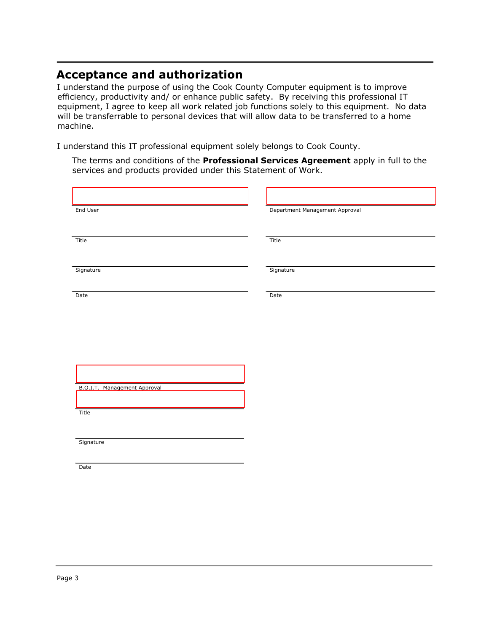### **Acceptance and authorization**

I understand the purpose of using the Cook County Computer equipment is to improve efficiency, productivity and/ or enhance public safety. By receiving this professional IT equipment, I agree to keep all work related job functions solely to this equipment. No data will be transferrable to personal devices that will allow data to be transferred to a home machine.

I understand this IT professional equipment solely belongs to Cook County.

The terms and conditions of the **Professional Services Agreement** apply in full to the services and products provided under this Statement of Work.

| End User                            | Department Management Approval |
|-------------------------------------|--------------------------------|
|                                     |                                |
| Title                               | Title                          |
|                                     |                                |
| Signature                           | Signature                      |
|                                     |                                |
| Date                                | Date                           |
|                                     |                                |
|                                     |                                |
|                                     |                                |
|                                     |                                |
|                                     |                                |
| <b>B.O.I.T. Management Approval</b> |                                |
| Title                               |                                |
|                                     |                                |
| Signature                           |                                |
|                                     |                                |
| Date                                |                                |